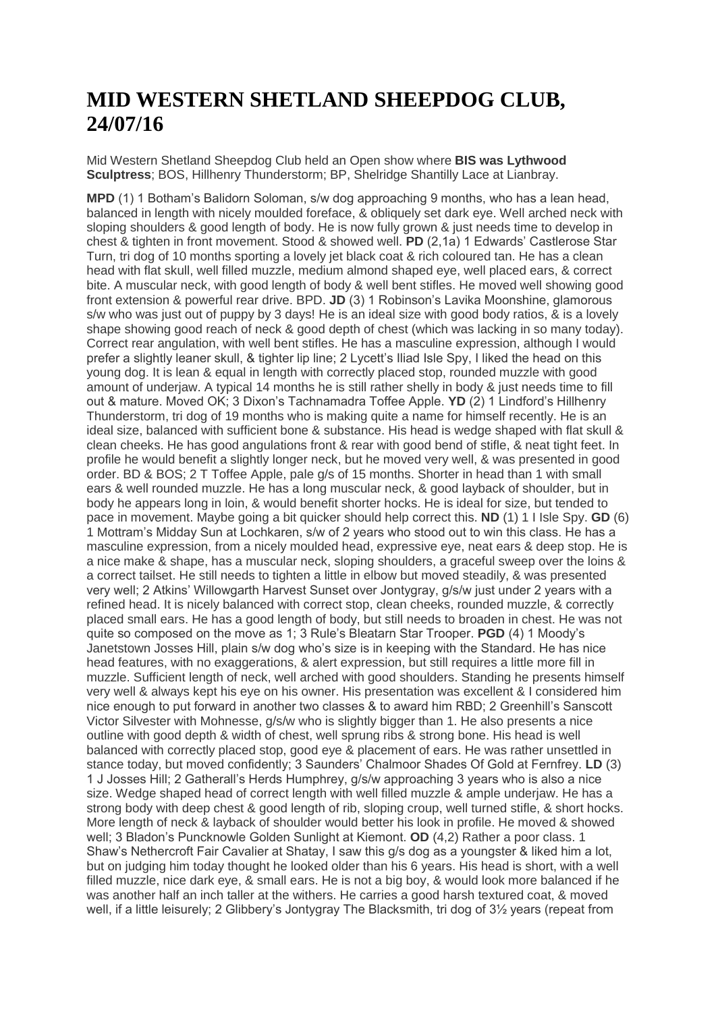## **MID WESTERN SHETLAND SHEEPDOG CLUB, 24/07/16**

Mid Western Shetland Sheepdog Club held an Open show where **BIS was Lythwood Sculptress**; BOS, Hillhenry Thunderstorm; BP, Shelridge Shantilly Lace at Lianbray.

**MPD** (1) 1 Botham's Balidorn Soloman, s/w dog approaching 9 months, who has a lean head, balanced in length with nicely moulded foreface, & obliquely set dark eye. Well arched neck with sloping shoulders & good length of body. He is now fully grown & just needs time to develop in chest & tighten in front movement. Stood & showed well. **PD** (2,1a) 1 Edwards' Castlerose Star Turn, tri dog of 10 months sporting a lovely jet black coat & rich coloured tan. He has a clean head with flat skull, well filled muzzle, medium almond shaped eye, well placed ears, & correct bite. A muscular neck, with good length of body & well bent stifles. He moved well showing good front extension & powerful rear drive. BPD. **JD** (3) 1 Robinson's Lavika Moonshine, glamorous s/w who was just out of puppy by 3 days! He is an ideal size with good body ratios, & is a lovely shape showing good reach of neck & good depth of chest (which was lacking in so many today). Correct rear angulation, with well bent stifles. He has a masculine expression, although I would prefer a slightly leaner skull, & tighter lip line; 2 Lycett's Iliad Isle Spy, I liked the head on this young dog. It is lean & equal in length with correctly placed stop, rounded muzzle with good amount of underjaw. A typical 14 months he is still rather shelly in body & just needs time to fill out & mature. Moved OK; 3 Dixon's Tachnamadra Toffee Apple. **YD** (2) 1 Lindford's Hillhenry Thunderstorm, tri dog of 19 months who is making quite a name for himself recently. He is an ideal size, balanced with sufficient bone & substance. His head is wedge shaped with flat skull & clean cheeks. He has good angulations front & rear with good bend of stifle, & neat tight feet. In profile he would benefit a slightly longer neck, but he moved very well, & was presented in good order. BD & BOS; 2 T Toffee Apple, pale g/s of 15 months. Shorter in head than 1 with small ears & well rounded muzzle. He has a long muscular neck, & good layback of shoulder, but in body he appears long in loin, & would benefit shorter hocks. He is ideal for size, but tended to pace in movement. Maybe going a bit quicker should help correct this. **ND** (1) 1 I Isle Spy. **GD** (6) 1 Mottram's Midday Sun at Lochkaren, s/w of 2 years who stood out to win this class. He has a masculine expression, from a nicely moulded head, expressive eye, neat ears & deep stop. He is a nice make & shape, has a muscular neck, sloping shoulders, a graceful sweep over the loins & a correct tailset. He still needs to tighten a little in elbow but moved steadily, & was presented very well; 2 Atkins' Willowgarth Harvest Sunset over Jontygray, g/s/w just under 2 years with a refined head. It is nicely balanced with correct stop, clean cheeks, rounded muzzle, & correctly placed small ears. He has a good length of body, but still needs to broaden in chest. He was not quite so composed on the move as 1; 3 Rule's Bleatarn Star Trooper. **PGD** (4) 1 Moody's Janetstown Josses Hill, plain s/w dog who's size is in keeping with the Standard. He has nice head features, with no exaggerations, & alert expression, but still requires a little more fill in muzzle. Sufficient length of neck, well arched with good shoulders. Standing he presents himself very well & always kept his eye on his owner. His presentation was excellent & I considered him nice enough to put forward in another two classes & to award him RBD; 2 Greenhill's Sanscott Victor Silvester with Mohnesse, g/s/w who is slightly bigger than 1. He also presents a nice outline with good depth & width of chest, well sprung ribs & strong bone. His head is well balanced with correctly placed stop, good eye & placement of ears. He was rather unsettled in stance today, but moved confidently; 3 Saunders' Chalmoor Shades Of Gold at Fernfrey. **LD** (3) 1 J Josses Hill; 2 Gatherall's Herds Humphrey, g/s/w approaching 3 years who is also a nice size. Wedge shaped head of correct length with well filled muzzle & ample underjaw. He has a strong body with deep chest & good length of rib, sloping croup, well turned stifle, & short hocks. More length of neck & layback of shoulder would better his look in profile. He moved & showed well; 3 Bladon's Puncknowle Golden Sunlight at Kiemont. **OD** (4,2) Rather a poor class. 1 Shaw's Nethercroft Fair Cavalier at Shatay, I saw this g/s dog as a youngster & liked him a lot, but on judging him today thought he looked older than his 6 years. His head is short, with a well filled muzzle, nice dark eye, & small ears. He is not a big boy, & would look more balanced if he was another half an inch taller at the withers. He carries a good harsh textured coat, & moved well, if a little leisurely; 2 Glibbery's Jontygray The Blacksmith, tri dog of 3½ years (repeat from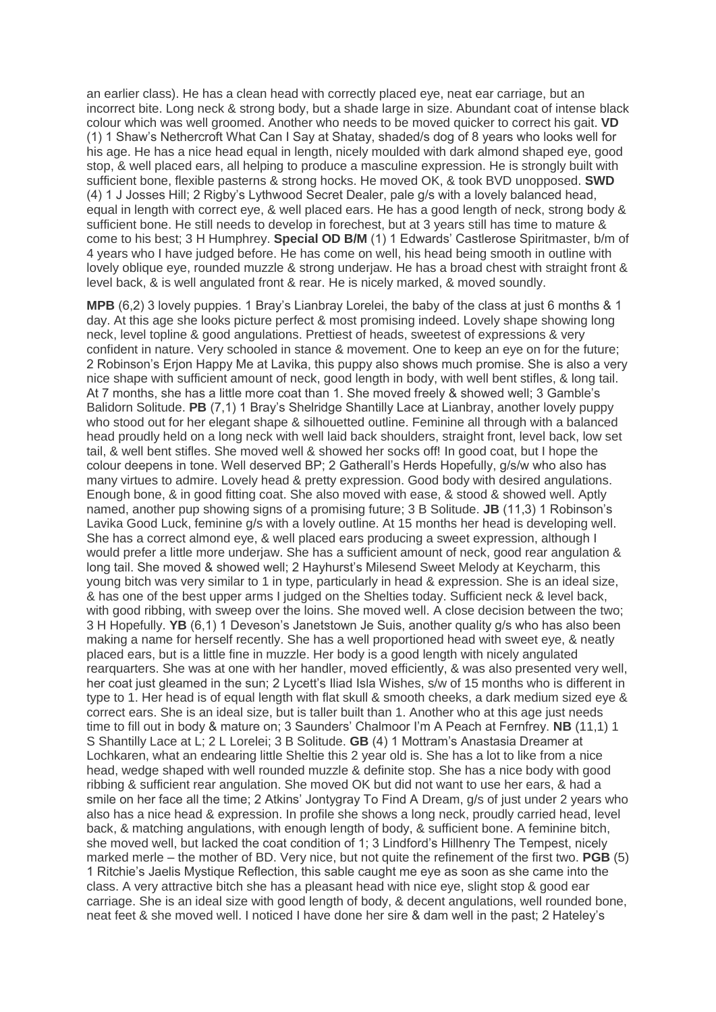an earlier class). He has a clean head with correctly placed eye, neat ear carriage, but an incorrect bite. Long neck & strong body, but a shade large in size. Abundant coat of intense black colour which was well groomed. Another who needs to be moved quicker to correct his gait. **VD** (1) 1 Shaw's Nethercroft What Can I Say at Shatay, shaded/s dog of 8 years who looks well for his age. He has a nice head equal in length, nicely moulded with dark almond shaped eye, good stop, & well placed ears, all helping to produce a masculine expression. He is strongly built with sufficient bone, flexible pasterns & strong hocks. He moved OK, & took BVD unopposed. **SWD** (4) 1 J Josses Hill; 2 Rigby's Lythwood Secret Dealer, pale g/s with a lovely balanced head, equal in length with correct eye, & well placed ears. He has a good length of neck, strong body & sufficient bone. He still needs to develop in forechest, but at 3 years still has time to mature & come to his best; 3 H Humphrey. **Special OD B/M** (1) 1 Edwards' Castlerose Spiritmaster, b/m of 4 years who I have judged before. He has come on well, his head being smooth in outline with lovely oblique eye, rounded muzzle & strong underjaw. He has a broad chest with straight front & level back, & is well angulated front & rear. He is nicely marked, & moved soundly.

**MPB** (6,2) 3 lovely puppies. 1 Bray's Lianbray Lorelei, the baby of the class at just 6 months & 1 day. At this age she looks picture perfect & most promising indeed. Lovely shape showing long neck, level topline & good angulations. Prettiest of heads, sweetest of expressions & very confident in nature. Very schooled in stance & movement. One to keep an eye on for the future; 2 Robinson's Erjon Happy Me at Lavika, this puppy also shows much promise. She is also a very nice shape with sufficient amount of neck, good length in body, with well bent stifles, & long tail. At 7 months, she has a little more coat than 1. She moved freely & showed well; 3 Gamble's Balidorn Solitude. **PB** (7,1) 1 Bray's Shelridge Shantilly Lace at Lianbray, another lovely puppy who stood out for her elegant shape & silhouetted outline. Feminine all through with a balanced head proudly held on a long neck with well laid back shoulders, straight front, level back, low set tail, & well bent stifles. She moved well & showed her socks off! In good coat, but I hope the colour deepens in tone. Well deserved BP; 2 Gatherall's Herds Hopefully, g/s/w who also has many virtues to admire. Lovely head & pretty expression. Good body with desired angulations. Enough bone, & in good fitting coat. She also moved with ease, & stood & showed well. Aptly named, another pup showing signs of a promising future; 3 B Solitude. **JB** (11,3) 1 Robinson's Lavika Good Luck, feminine g/s with a lovely outline. At 15 months her head is developing well. She has a correct almond eye, & well placed ears producing a sweet expression, although I would prefer a little more underjaw. She has a sufficient amount of neck, good rear angulation & long tail. She moved & showed well; 2 Hayhurst's Milesend Sweet Melody at Keycharm, this young bitch was very similar to 1 in type, particularly in head & expression. She is an ideal size, & has one of the best upper arms I judged on the Shelties today. Sufficient neck & level back, with good ribbing, with sweep over the loins. She moved well. A close decision between the two; 3 H Hopefully. **YB** (6,1) 1 Deveson's Janetstown Je Suis, another quality g/s who has also been making a name for herself recently. She has a well proportioned head with sweet eye, & neatly placed ears, but is a little fine in muzzle. Her body is a good length with nicely angulated rearquarters. She was at one with her handler, moved efficiently, & was also presented very well, her coat just gleamed in the sun; 2 Lycett's Iliad Isla Wishes, s/w of 15 months who is different in type to 1. Her head is of equal length with flat skull & smooth cheeks, a dark medium sized eye & correct ears. She is an ideal size, but is taller built than 1. Another who at this age just needs time to fill out in body & mature on; 3 Saunders' Chalmoor I'm A Peach at Fernfrey. **NB** (11,1) 1 S Shantilly Lace at L; 2 L Lorelei; 3 B Solitude. **GB** (4) 1 Mottram's Anastasia Dreamer at Lochkaren, what an endearing little Sheltie this 2 year old is. She has a lot to like from a nice head, wedge shaped with well rounded muzzle & definite stop. She has a nice body with good ribbing & sufficient rear angulation. She moved OK but did not want to use her ears, & had a smile on her face all the time; 2 Atkins' Jontygray To Find A Dream, g/s of just under 2 years who also has a nice head & expression. In profile she shows a long neck, proudly carried head, level back, & matching angulations, with enough length of body, & sufficient bone. A feminine bitch, she moved well, but lacked the coat condition of 1; 3 Lindford's Hillhenry The Tempest, nicely marked merle – the mother of BD. Very nice, but not quite the refinement of the first two. **PGB** (5) 1 Ritchie's Jaelis Mystique Reflection, this sable caught me eye as soon as she came into the class. A very attractive bitch she has a pleasant head with nice eye, slight stop & good ear carriage. She is an ideal size with good length of body, & decent angulations, well rounded bone, neat feet & she moved well. I noticed I have done her sire & dam well in the past; 2 Hateley's